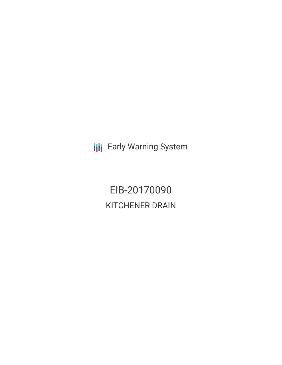**III** Early Warning System

EIB-20170090 KITCHENER DRAIN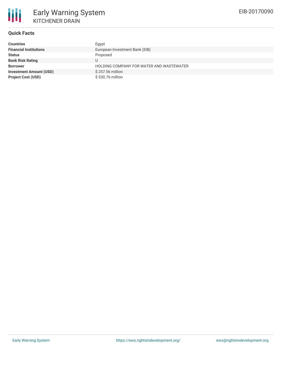# **Quick Facts**

| <b>Countries</b>               | Egypt                                    |
|--------------------------------|------------------------------------------|
| <b>Financial Institutions</b>  | European Investment Bank (EIB)           |
| <b>Status</b>                  | Proposed                                 |
| <b>Bank Risk Rating</b>        |                                          |
| <b>Borrower</b>                | HOLDING COMPANY FOR WATER AND WASTEWATER |
| <b>Investment Amount (USD)</b> | \$257.56 million                         |
| <b>Project Cost (USD)</b>      | \$530.76 million                         |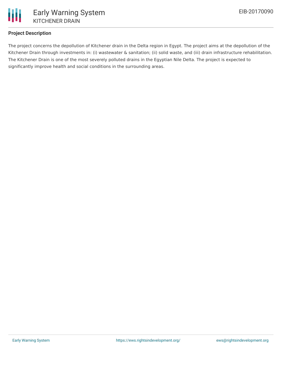

# **Project Description**

The project concerns the depollution of Kitchener drain in the Delta region in Egypt. The project aims at the depollution of the Kitchener Drain through investments in: (i) wastewater & sanitation; (ii) solid waste, and (iii) drain infrastructure rehabilitation. The Kitchener Drain is one of the most severely polluted drains in the Egyptian Nile Delta. The project is expected to significantly improve health and social conditions in the surrounding areas.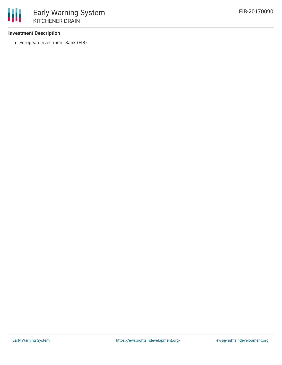## **Investment Description**

European Investment Bank (EIB)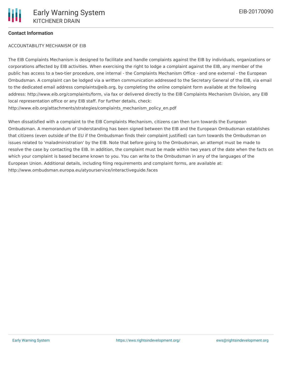## **Contact Information**

#### ACCOUNTABILITY MECHANISM OF EIB

The EIB Complaints Mechanism is designed to facilitate and handle complaints against the EIB by individuals, organizations or corporations affected by EIB activities. When exercising the right to lodge a complaint against the EIB, any member of the public has access to a two-tier procedure, one internal - the Complaints Mechanism Office - and one external - the European Ombudsman. A complaint can be lodged via a written communication addressed to the Secretary General of the EIB, via email to the dedicated email address complaints@eib.org, by completing the online complaint form available at the following address: http://www.eib.org/complaints/form, via fax or delivered directly to the EIB Complaints Mechanism Division, any EIB local representation office or any EIB staff. For further details, check: http://www.eib.org/attachments/strategies/complaints\_mechanism\_policy\_en.pdf

When dissatisfied with a complaint to the EIB Complaints Mechanism, citizens can then turn towards the European Ombudsman. A memorandum of Understanding has been signed between the EIB and the European Ombudsman establishes that citizens (even outside of the EU if the Ombudsman finds their complaint justified) can turn towards the Ombudsman on issues related to 'maladministration' by the EIB. Note that before going to the Ombudsman, an attempt must be made to resolve the case by contacting the EIB. In addition, the complaint must be made within two years of the date when the facts on which your complaint is based became known to you. You can write to the Ombudsman in any of the languages of the European Union. Additional details, including filing requirements and complaint forms, are available at: http://www.ombudsman.europa.eu/atyourservice/interactiveguide.faces